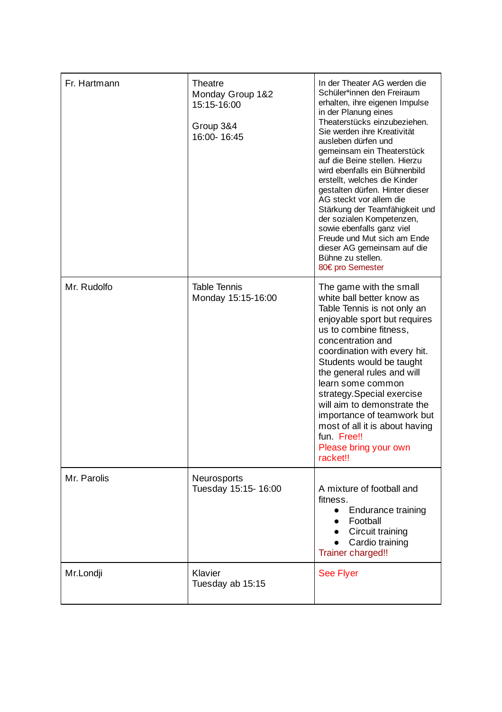| Fr. Hartmann | Theatre<br>Monday Group 1&2<br>15:15-16:00<br>Group 3&4<br>16:00-16:45 | In der Theater AG werden die<br>Schüler*innen den Freiraum<br>erhalten, ihre eigenen Impulse<br>in der Planung eines<br>Theaterstücks einzubeziehen.<br>Sie werden ihre Kreativität<br>ausleben dürfen und<br>gemeinsam ein Theaterstück<br>auf die Beine stellen. Hierzu<br>wird ebenfalls ein Bühnenbild<br>erstellt, welches die Kinder<br>gestalten dürfen. Hinter dieser<br>AG steckt vor allem die<br>Stärkung der Teamfähigkeit und<br>der sozialen Kompetenzen,<br>sowie ebenfalls ganz viel<br>Freude und Mut sich am Ende<br>dieser AG gemeinsam auf die<br>Bühne zu stellen.<br>80€ pro Semester |
|--------------|------------------------------------------------------------------------|-------------------------------------------------------------------------------------------------------------------------------------------------------------------------------------------------------------------------------------------------------------------------------------------------------------------------------------------------------------------------------------------------------------------------------------------------------------------------------------------------------------------------------------------------------------------------------------------------------------|
| Mr. Rudolfo  | <b>Table Tennis</b><br>Monday 15:15-16:00                              | The game with the small<br>white ball better know as<br>Table Tennis is not only an<br>enjoyable sport but requires<br>us to combine fitness,<br>concentration and<br>coordination with every hit.<br>Students would be taught<br>the general rules and will<br>learn some common<br>strategy.Special exercise<br>will aim to demonstrate the<br>importance of teamwork but<br>most of all it is about having<br>fun Free!!<br>Please bring your own<br>racket!!                                                                                                                                            |
| Mr. Parolis  | Neurosports<br>Tuesday 15:15-16:00                                     | A mixture of football and<br>fitness.<br><b>Endurance training</b><br>$\bullet$<br>Football<br>Circuit training<br>Cardio training<br>Trainer charged!!                                                                                                                                                                                                                                                                                                                                                                                                                                                     |
| Mr.Londji    | Klavier<br>Tuesday ab 15:15                                            | <b>See Flyer</b>                                                                                                                                                                                                                                                                                                                                                                                                                                                                                                                                                                                            |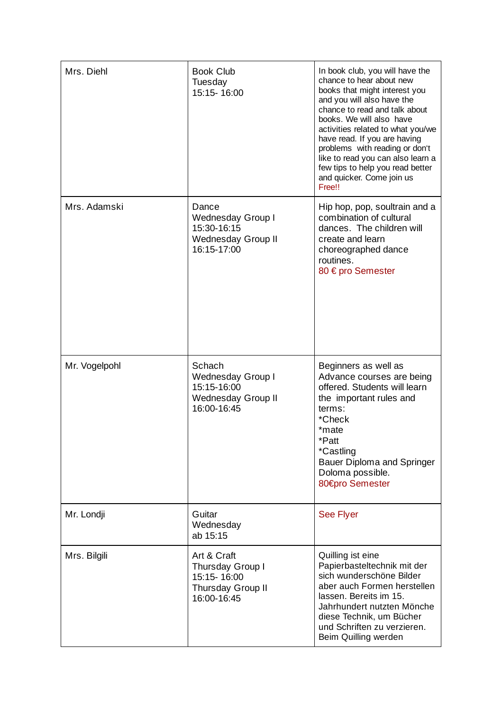| Mrs. Diehl    | <b>Book Club</b><br>Tuesday<br>15:15-16:00                                         | In book club, you will have the<br>chance to hear about new<br>books that might interest you<br>and you will also have the<br>chance to read and talk about<br>books. We will also have<br>activities related to what you/we<br>have read. If you are having<br>problems with reading or don't<br>like to read you can also learn a<br>few tips to help you read better<br>and quicker. Come join us<br>Free!! |
|---------------|------------------------------------------------------------------------------------|----------------------------------------------------------------------------------------------------------------------------------------------------------------------------------------------------------------------------------------------------------------------------------------------------------------------------------------------------------------------------------------------------------------|
| Mrs. Adamski  | Dance<br>Wednesday Group I<br>15:30-16:15<br>Wednesday Group II<br>16:15-17:00     | Hip hop, pop, soultrain and a<br>combination of cultural<br>dances. The children will<br>create and learn<br>choreographed dance<br>routines.<br>80 € pro Semester                                                                                                                                                                                                                                             |
| Mr. Vogelpohl | Schach<br>Wednesday Group I<br>15:15-16:00<br>Wednesday Group II<br>16:00-16:45    | Beginners as well as<br>Advance courses are being<br>offered. Students will learn<br>the important rules and<br>terms:<br>*Check<br>*mate<br>*Patt<br>*Castling<br>Bauer Diploma and Springer<br>Doloma possible.<br>80€pro Semester                                                                                                                                                                           |
| Mr. Londji    | Guitar<br>Wednesday<br>ab 15:15                                                    | <b>See Flyer</b>                                                                                                                                                                                                                                                                                                                                                                                               |
| Mrs. Bilgili  | Art & Craft<br>Thursday Group I<br>15:15-16:00<br>Thursday Group II<br>16:00-16:45 | Quilling ist eine<br>Papierbasteltechnik mit der<br>sich wunderschöne Bilder<br>aber auch Formen herstellen<br>lassen. Bereits im 15.<br>Jahrhundert nutzten Mönche<br>diese Technik, um Bücher<br>und Schriften zu verzieren.<br>Beim Quilling werden                                                                                                                                                         |